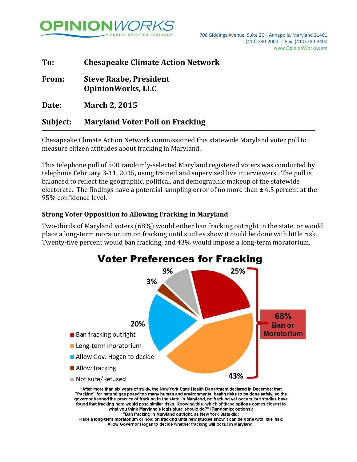

| To:      | <b>Chesapeake Climate Action Network</b>                  |  |
|----------|-----------------------------------------------------------|--|
| From:    | <b>Steve Raabe, President</b><br><b>OpinionWorks, LLC</b> |  |
| Date:    | <b>March 2, 2015</b>                                      |  |
| Subject: | <b>Maryland Voter Poll on Fracking</b>                    |  |

Chesapeake Climate Action Network commissioned this statewide Maryland voter poll to measure citizen attitudes about fracking in Maryland.

This telephone poll of 500 randomly-selected Maryland registered voters was conducted by telephone February 3-11, 2015, using trained and supervised live interviewers. The poll is balanced to reflect the geographic, political, and demographic makeup of the statewide electorate. The findings have a potential sampling error of no more than  $\pm$  4.5 percent at the 95% confidence level.

## **Strong Voter Opposition to Allowing Fracking in Maryland**

Two-thirds of Maryland voters (68%) would either ban fracking outright in the state, or would place a long-term moratorium on fracking until studies show it could be done with little risk. Twenty-five percent would ban fracking, and 43% would impose a long-term moratorium.



"Ban fracking in Maryland outright, as New York State did; Place a long-term moratorium or hold on fracking until new studies show it can be done with little risk; Allow Governor Hogan to decide whether fracking will occur in Maryland"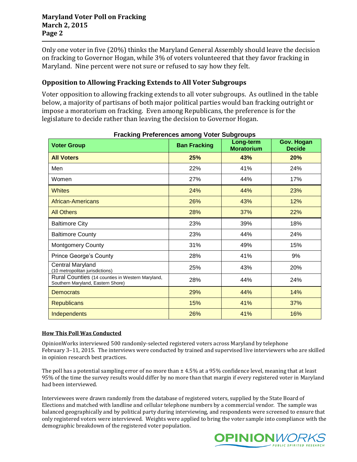### **Maryland Voter Poll on Fracking March 2, 2015 Page 2**

Only one voter in five (20%) thinks the Maryland General Assembly should leave the decision on fracking to Governor Hogan, while 3% of voters volunteered that they favor fracking in Maryland. Nine percent were not sure or refused to say how they felt.

# **Opposition to Allowing Fracking Extends to All Voter Subgroups**

Voter opposition to allowing fracking extends to all voter subgroups. As outlined in the table below, a majority of partisans of both major political parties would ban fracking outright or impose a moratorium on fracking. Even among Republicans, the preference is for the legislature to decide rather than leaving the decision to Governor Hogan.

| <b>FIAUNING FIBIBIBILES AINUNG VOIBI SUDGIOUDS</b>                                    |                     |                                |                             |  |
|---------------------------------------------------------------------------------------|---------------------|--------------------------------|-----------------------------|--|
| <b>Voter Group</b>                                                                    | <b>Ban Fracking</b> | Long-term<br><b>Moratorium</b> | Gov. Hogan<br><b>Decide</b> |  |
| <b>All Voters</b>                                                                     | 25%                 | 43%                            | 20%                         |  |
| Men                                                                                   | 22%                 | 41%                            | 24%                         |  |
| Women                                                                                 | 27%                 | 44%                            | 17%                         |  |
| <b>Whites</b>                                                                         | 24%                 | 44%                            | 23%                         |  |
| African-Americans                                                                     | 26%                 | 43%                            | 12%                         |  |
| <b>All Others</b>                                                                     | 28%                 | 37%                            | 22%                         |  |
| <b>Baltimore City</b>                                                                 | 23%                 | 39%                            | 18%                         |  |
| <b>Baltimore County</b>                                                               | 23%                 | 44%                            | 24%                         |  |
| <b>Montgomery County</b>                                                              | 31%                 | 49%                            | 15%                         |  |
| <b>Prince George's County</b>                                                         | 28%                 | 41%                            | 9%                          |  |
| <b>Central Maryland</b><br>(10 metropolitan jurisdictions)                            | 25%                 | 43%                            | 20%                         |  |
| Rural Counties (14 counties in Western Maryland,<br>Southern Maryland, Eastern Shore) | 28%                 | 44%                            | 24%                         |  |
| <b>Democrats</b>                                                                      | 29%                 | 44%                            | 14%                         |  |
| <b>Republicans</b>                                                                    | 15%                 | 41%                            | 37%                         |  |
| <b>Independents</b>                                                                   | 26%                 | 41%                            | 16%                         |  |

**Fracking Preferences among Voter Subgroups**

#### **How This Poll Was Conducted**

OpinionWorks interviewed 500 randomly-selected registered voters across Maryland by telephone February 3–11, 2015. The interviews were conducted by trained and supervised live interviewers who are skilled in opinion research best practices.

The poll has a potential sampling error of no more than  $\pm 4.5\%$  at a 95% confidence level, meaning that at least 95% of the time the survey results would differ by no more than that margin if every registered voter in Maryland had been interviewed.

Interviewees were drawn randomly from the database of registered voters, supplied by the State Board of Elections and matched with landline and cellular telephone numbers by a commercial vendor. The sample was balanced geographically and by political party during interviewing, and respondents were screened to ensure that only registered voters were interviewed. Weights were applied to bring the voter sample into compliance with the demographic breakdown of the registered voter population.